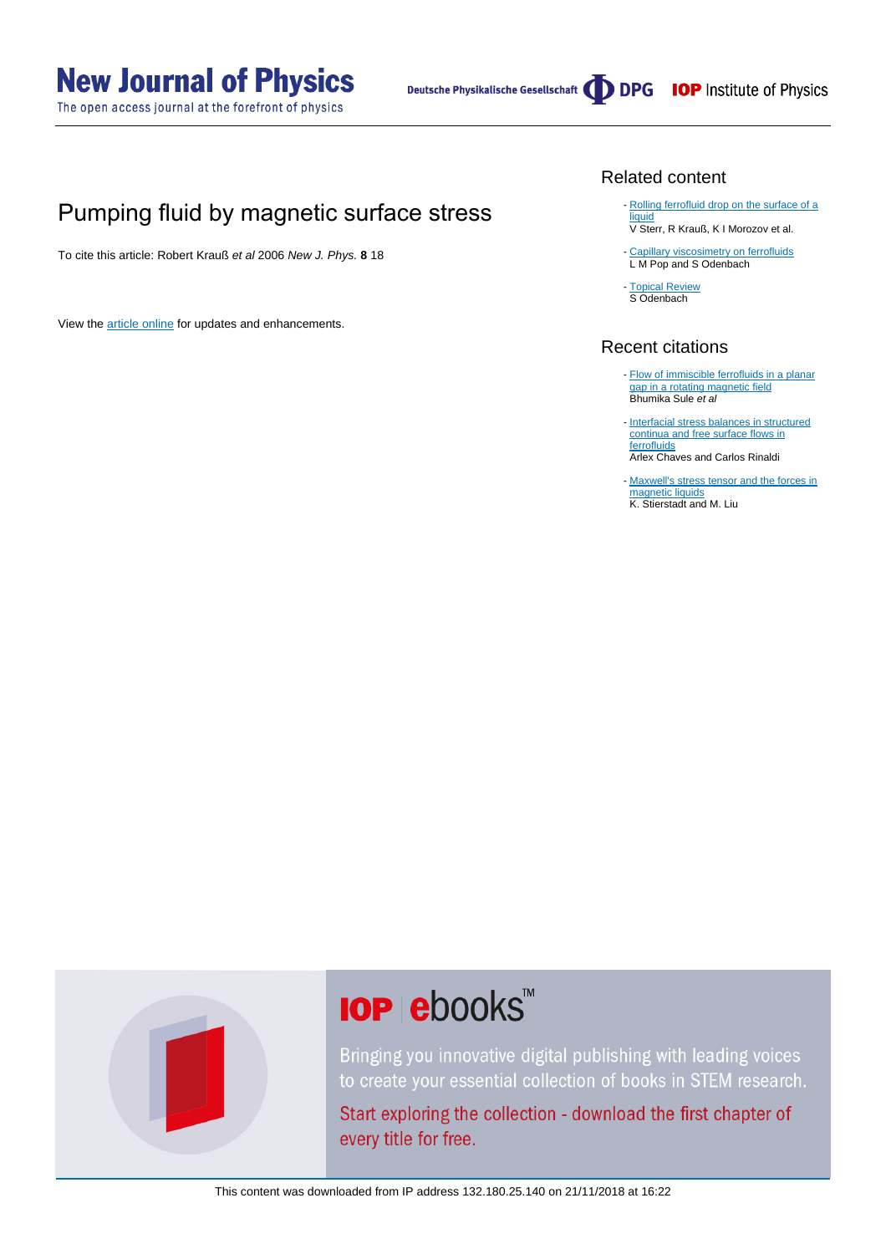# **New Journal of Physics**

The open access journal at the forefront of physics

## Pumping fluid by magnetic surface stress

To cite this article: Robert Krauß et al 2006 New J. Phys. **8** 18

View the [article online](https://doi.org/10.1088/1367-2630/8/1/018) for updates and enhancements.

#### Related content

- [Rolling ferrofluid drop on the surface of a](http://iopscience.iop.org/article/10.1088/1367-2630/10/6/063029) **[liquid](http://iopscience.iop.org/article/10.1088/1367-2630/10/6/063029)** V Sterr, R Krauß, K I Morozov et al.
- [Capillary viscosimetry on ferrofluids](http://iopscience.iop.org/article/10.1088/0953-8984/20/20/204139) L M Pop and S Odenbach
- [Topical Review](http://iopscience.iop.org/article/10.1088/0953-8984/16/32/R02) S Odenbach

#### Recent citations

- [Flow of immiscible ferrofluids in a planar](http://dx.doi.org/10.1063/1.4923749) [gap in a rotating magnetic field](http://dx.doi.org/10.1063/1.4923749)<br>Bhumika Sule *et al*
- [Interfacial stress balances in structured](http://dx.doi.org/10.1063/1.4869856) [continua and free surface flows in](http://dx.doi.org/10.1063/1.4869856) [ferrofluids](http://dx.doi.org/10.1063/1.4869856) Arlex Chaves and Carlos Rinaldi
- [Maxwell's stress tensor and the forces in](http://dx.doi.org/10.1002/zamm.201300192) [magnetic liquids](http://dx.doi.org/10.1002/zamm.201300192) K. Stierstadt and M. Liu



# **IOP ebooks**™

Bringing you innovative digital publishing with leading voices to create your essential collection of books in STEM research.

Start exploring the collection - download the first chapter of every title for free.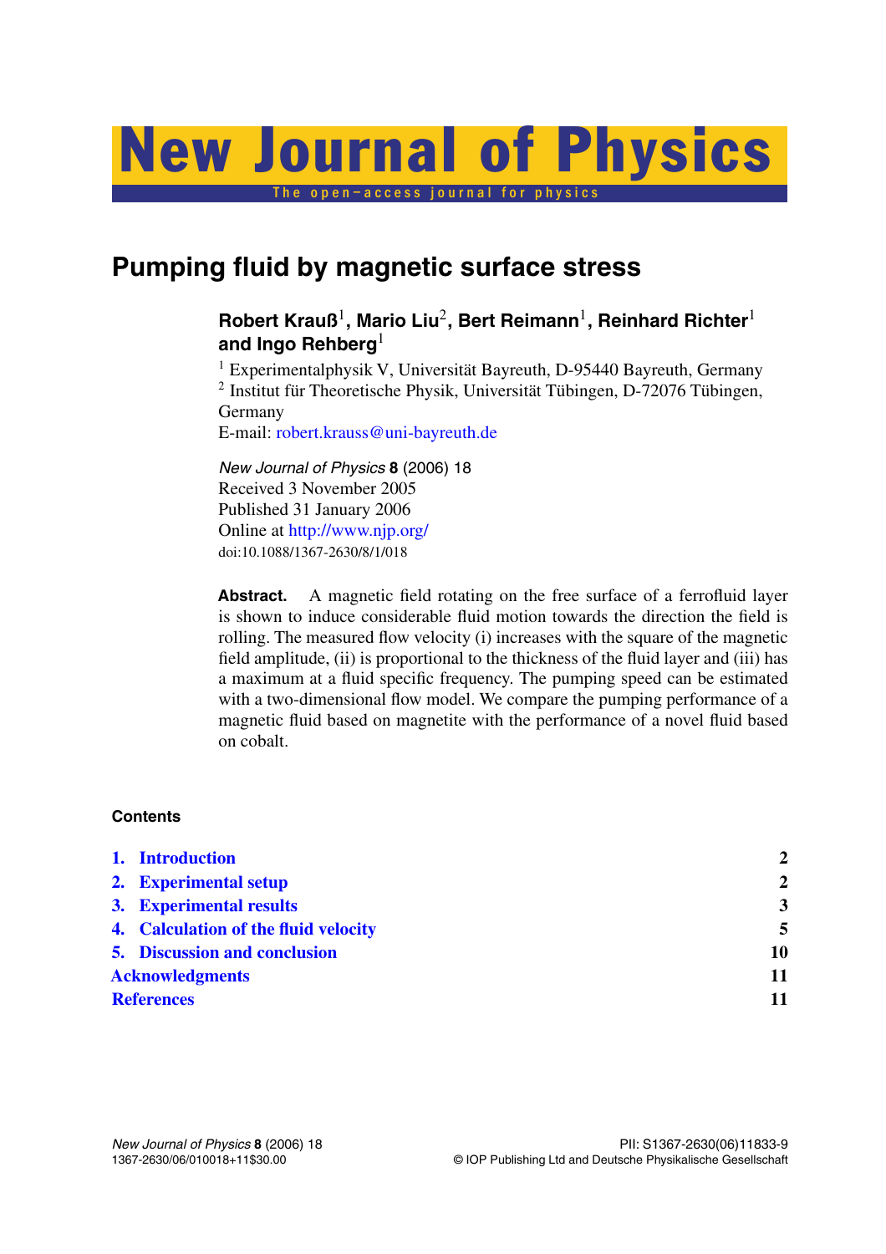# The open–access journal for physics New Journal of Physics

## **Pumping fluid by magnetic surface stress**

### **Robert Krauß**1**, Mario Liu**2**, Bert Reimann**1**, Reinhard Richter**<sup>1</sup> and Ingo Rehberg<sup>1</sup>

<sup>1</sup> Experimentalphysik V, Universität Bayreuth, D-95440 Bayreuth, Germany <sup>2</sup> Institut für Theoretische Physik, Universität Tübingen, D-72076 Tübingen, Germany

E-mail: [robert.krauss@uni-bayreuth.de](mailto:robert.krauss@uni-bayreuth.de)

*New Journal of Physics* **8** (2006) 18 Received 3 November 2005 Published 31 January 2006 Online at <http://www.njp.org/> doi:10.1088/1367-2630/8/1/018

Abstract. A magnetic field rotating on the free surface of a ferrofluid layer is shown to induce considerable fluid motion towards the direction the field is rolling. The measured flow velocity (i) increases with the square of the magnetic field amplitude, (ii) is proportional to the thickness of the fluid layer and (iii) has a maximum at a fluid specific frequency. The pumping speed can be estimated with a two-dimensional flow model. We compare the pumping performance of a magnetic fluid based on magnetite with the performance of a novel fluid based on cobalt.

#### **Contents**

|                        | 1. Introduction                      | $\mathbf{2}$            |
|------------------------|--------------------------------------|-------------------------|
|                        | 2. Experimental setup                | $\mathbf{2}$            |
|                        | 3. Experimental results              | $\overline{\mathbf{3}}$ |
|                        | 4. Calculation of the fluid velocity | 5                       |
|                        | <b>5. Discussion and conclusion</b>  | 10                      |
| <b>Acknowledgments</b> |                                      | 11                      |
| <b>References</b>      |                                      | 11                      |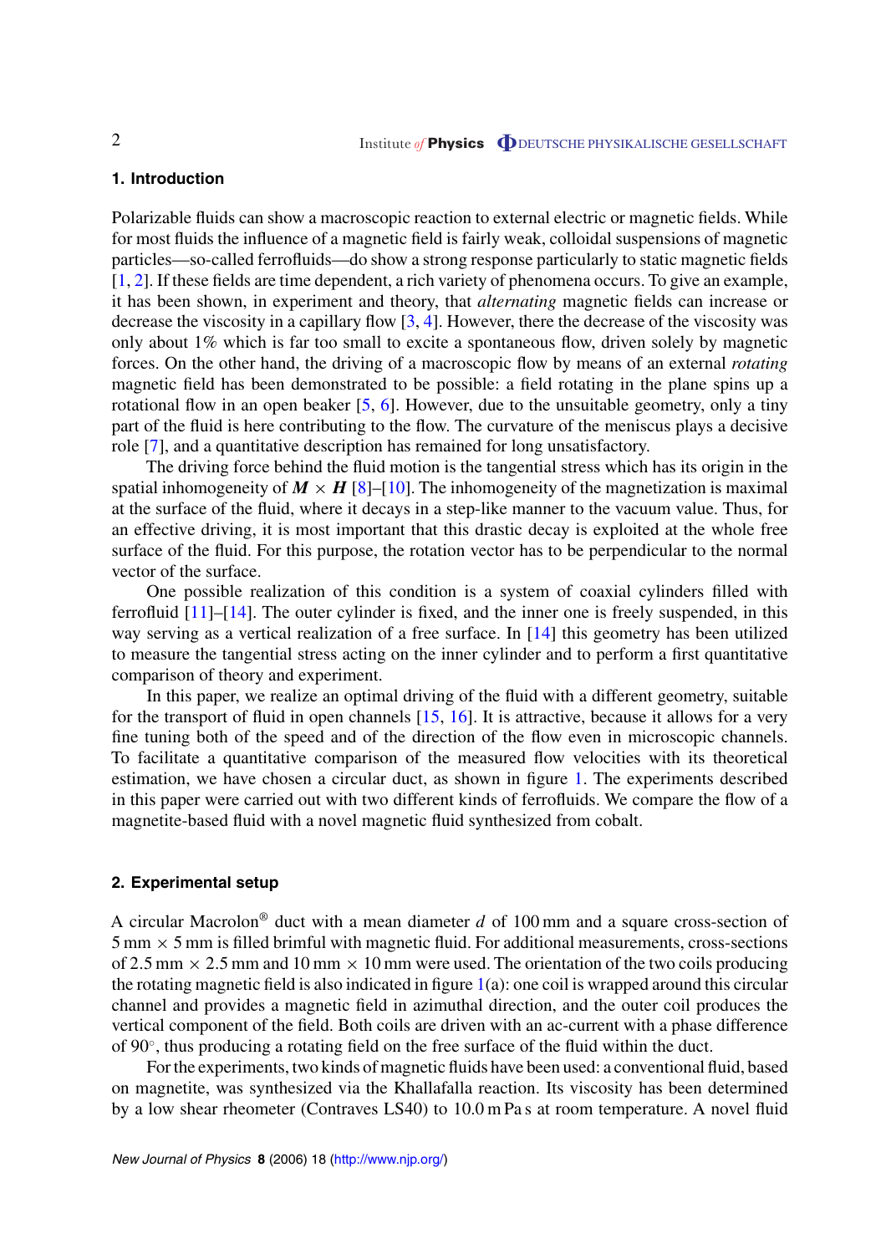#### <span id="page-2-0"></span>**1. Introduction**

Polarizable fluids can show a macroscopic reaction to external electric or magnetic fields. While for most fluids the influence of a magnetic field is fairly weak, colloidal suspensions of magnetic particles—so-called ferrofluids—do show a strong response particularly to static magnetic fields [[1,](#page-11-0) [2](#page-11-0)]. If these fields are time dependent, a rich variety of phenomena occurs. To give an example, it has been shown, in experiment and theory, that *alternating* magnetic fields can increase or decrease the viscosity in a capillary flow  $[3, 4]$  $[3, 4]$  $[3, 4]$ . However, there the decrease of the viscosity was only about 1% which is far too small to excite a spontaneous flow, driven solely by magnetic forces. On the other hand, the driving of a macroscopic flow by means of an external *rotating* magnetic field has been demonstrated to be possible: a field rotating in the plane spins up a rotational flow in an open beaker  $[5, 6]$  $[5, 6]$  $[5, 6]$ . However, due to the unsuitable geometry, only a tiny part of the fluid is here contributing to the flow. The curvature of the meniscus plays a decisive role [[7\]](#page-11-0), and a quantitative description has remained for long unsatisfactory.

The driving force behind the fluid motion is the tangential stress which has its origin in the spatial inhomogeneity of  $M \times H$  [\[8](#page-11-0)]–[\[10](#page-11-0)]. The inhomogeneity of the magnetization is maximal at the surface of the fluid, where it decays in a step-like manner to the vacuum value. Thus, for an effective driving, it is most important that this drastic decay is exploited at the whole free surface of the fluid. For this purpose, the rotation vector has to be perpendicular to the normal vector of the surface.

One possible realization of this condition is a system of coaxial cylinders filled with ferrofluid [[11\]](#page-11-0)–[[14\]](#page-11-0). The outer cylinder is fixed, and the inner one is freely suspended, in this way serving as a vertical realization of a free surface. In [[14\]](#page-11-0) this geometry has been utilized to measure the tangential stress acting on the inner cylinder and to perform a first quantitative comparison of theory and experiment.

In this paper, we realize an optimal driving of the fluid with a different geometry, suitable for the transport of fluid in open channels [\[15](#page-11-0), [16\]](#page-11-0). It is attractive, because it allows for a very fine tuning both of the speed and of the direction of the flow even in microscopic channels. To facilitate a quantitative comparison of the measured flow velocities with its theoretical estimation, we have chosen a circular duct, as shown in figure [1.](#page-3-0) The experiments described in this paper were carried out with two different kinds of ferrofluids. We compare the flow of a magnetite-based fluid with a novel magnetic fluid synthesized from cobalt.

#### **2. Experimental setup**

A circular Macrolon® duct with a mean diameter *d* of 100 mm and a square cross-section of  $5 \text{ mm} \times 5 \text{ mm}$  is filled brimful with magnetic fluid. For additional measurements, cross-sections of 2.5 mm  $\times$  2.5 mm and 10 mm  $\times$  10 mm were used. The orientation of the two coils producing the rotating magnetic field is also indicated in figure  $1(a)$  $1(a)$ : one coil is wrapped around this circular channel and provides a magnetic field in azimuthal direction, and the outer coil produces the vertical component of the field. Both coils are driven with an ac-current with a phase difference of 90◦, thus producing a rotating field on the free surface of the fluid within the duct.

For the experiments, two kinds of magnetic fluids have been used: a conventional fluid, based on magnetite, was synthesized via the Khallafalla reaction. Its viscosity has been determined by a low shear rheometer (Contraves LS40) to 10.0 m Pa s at room temperature. A novel fluid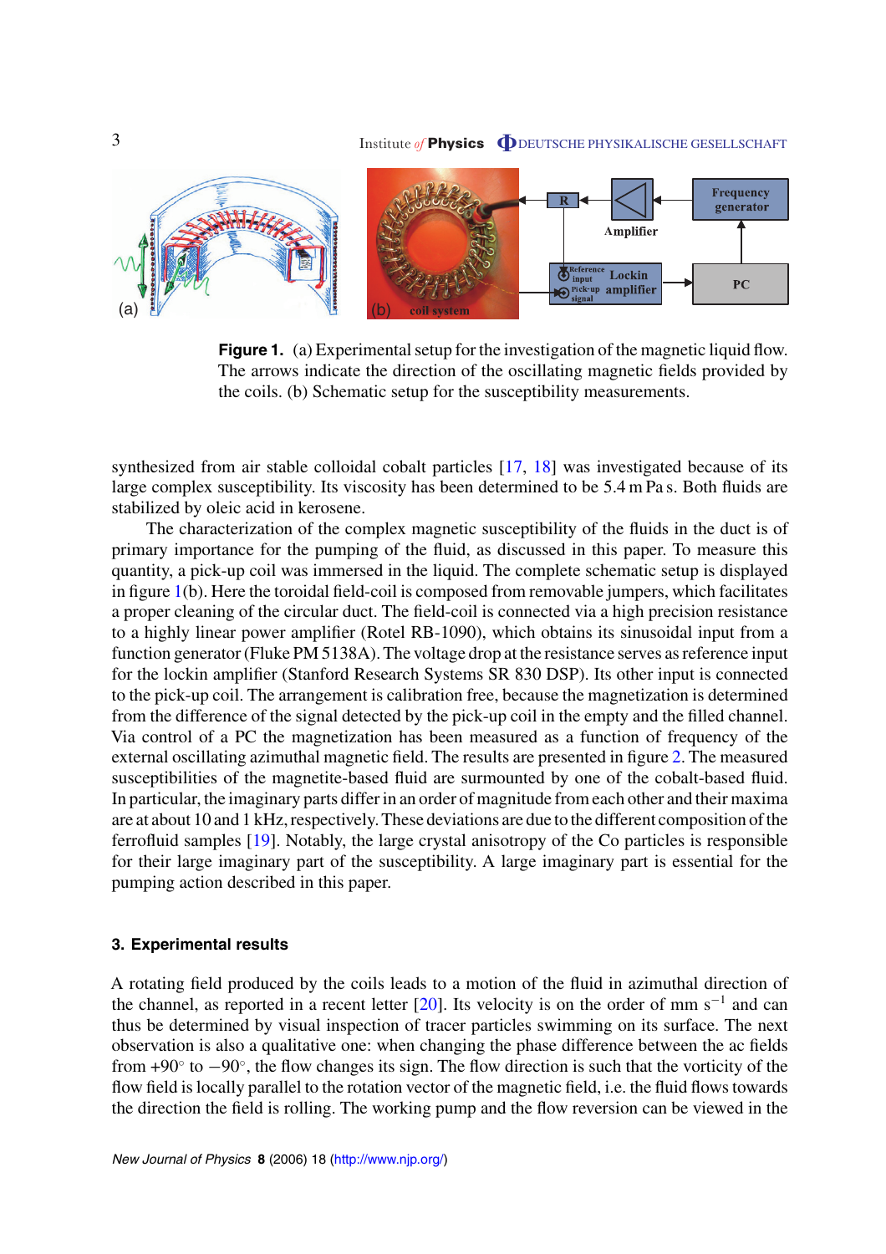### <span id="page-3-0"></span>3 Institute *of* **Physics O** DEUTSCHE PHYSIKALISCHE GESELLSCHAFT



**Figure 1.** (a) Experimental setup for the investigation of the magnetic liquid flow. The arrows indicate the direction of the oscillating magnetic fields provided by the coils. (b) Schematic setup for the susceptibility measurements.

synthesized from air stable colloidal cobalt particles [[17,](#page-11-0) [18](#page-11-0)] was investigated because of its large complex susceptibility. Its viscosity has been determined to be 5.4 m Pa s. Both fluids are stabilized by oleic acid in kerosene.

The characterization of the complex magnetic susceptibility of the fluids in the duct is of primary importance for the pumping of the fluid, as discussed in this paper. To measure this quantity, a pick-up coil was immersed in the liquid. The complete schematic setup is displayed in figure 1(b). Here the toroidal field-coil is composed from removable jumpers, which facilitates a proper cleaning of the circular duct. The field-coil is connected via a high precision resistance to a highly linear power amplifier (Rotel RB-1090), which obtains its sinusoidal input from a function generator (Fluke PM 5138A). The voltage drop at the resistance serves as reference input for the lockin amplifier (Stanford Research Systems SR 830 DSP). Its other input is connected to the pick-up coil. The arrangement is calibration free, because the magnetization is determined from the difference of the signal detected by the pick-up coil in the empty and the filled channel. Via control of a PC the magnetization has been measured as a function of frequency of the external oscillating azimuthal magnetic field. The results are presented in figure [2](#page-4-0). The measured susceptibilities of the magnetite-based fluid are surmounted by one of the cobalt-based fluid. In particular, the imaginary parts differ in an order of magnitude from each other and their maxima are at about 10 and 1 kHz, respectively. These deviations are due to the different composition of the ferrofluid samples [[19\]](#page-11-0). Notably, the large crystal anisotropy of the Co particles is responsible for their large imaginary part of the susceptibility. A large imaginary part is essential for the pumping action described in this paper.

#### **3. Experimental results**

A rotating field produced by the coils leads to a motion of the fluid in azimuthal direction of the channel, as reported in a recent letter  $[20]$  $[20]$ . Its velocity is on the order of mm s<sup>-1</sup> and can thus be determined by visual inspection of tracer particles swimming on its surface. The next observation is also a qualitative one: when changing the phase difference between the ac fields from +90◦ to −90◦, the flow changes its sign. The flow direction is such that the vorticity of the flow field is locally parallel to the rotation vector of the magnetic field, i.e. the fluid flows towards the direction the field is rolling. The working pump and the flow reversion can be viewed in the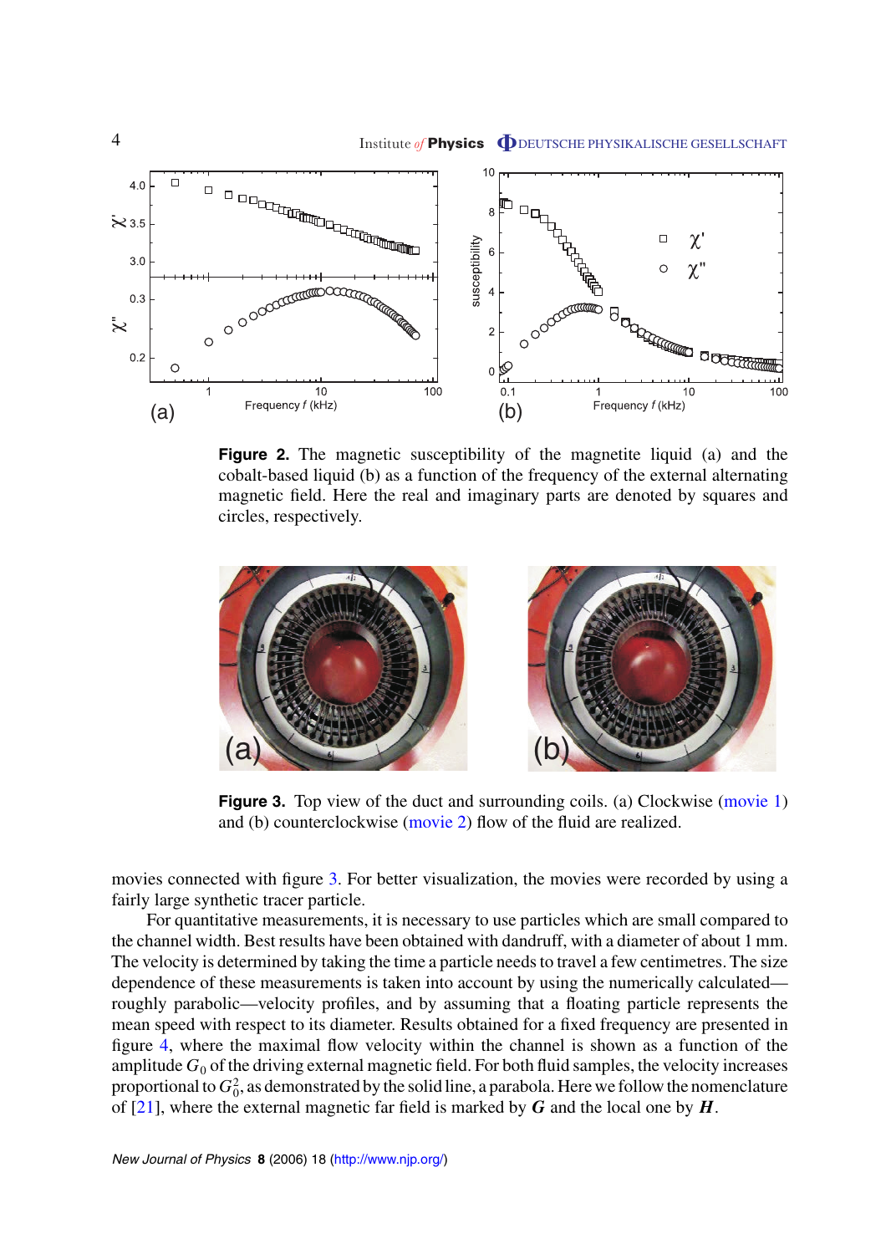<span id="page-4-0"></span>

**Figure 2.** The magnetic susceptibility of the magnetite liquid (a) and the cobalt-based liquid (b) as a function of the frequency of the external alternating magnetic field. Here the real and imaginary parts are denoted by squares and circles, respectively.



**Figure 3.** Top view of the duct and surrounding coils. (a) Clockwise [\(movie 1](http://www.iop.org/EJ/mmedia/1367-2630/8/1/018/movie1.mpg)) and (b) counterclockwise ([movie 2](http://www.iop.org/EJ/mmedia/1367-2630/8/1/018/movie2.mpg)) flow of the fluid are realized.

movies connected with figure 3. For better visualization, the movies were recorded by using a fairly large synthetic tracer particle.

For quantitative measurements, it is necessary to use particles which are small compared to the channel width. Best results have been obtained with dandruff, with a diameter of about 1 mm. The velocity is determined by taking the time a particle needs to travel a few centimetres. The size dependence of these measurements is taken into account by using the numerically calculated roughly parabolic—velocity profiles, and by assuming that a floating particle represents the mean speed with respect to its diameter. Results obtained for a fixed frequency are presented in figure [4](#page-5-0), where the maximal flow velocity within the channel is shown as a function of the amplitude  $G_0$  of the driving external magnetic field. For both fluid samples, the velocity increases proportional to  $G_0^2$ , as demonstrated by the solid line, a parabola. Here we follow the nomenclature of [[21\]](#page-11-0), where the external magnetic far field is marked by *G* and the local one by *H*.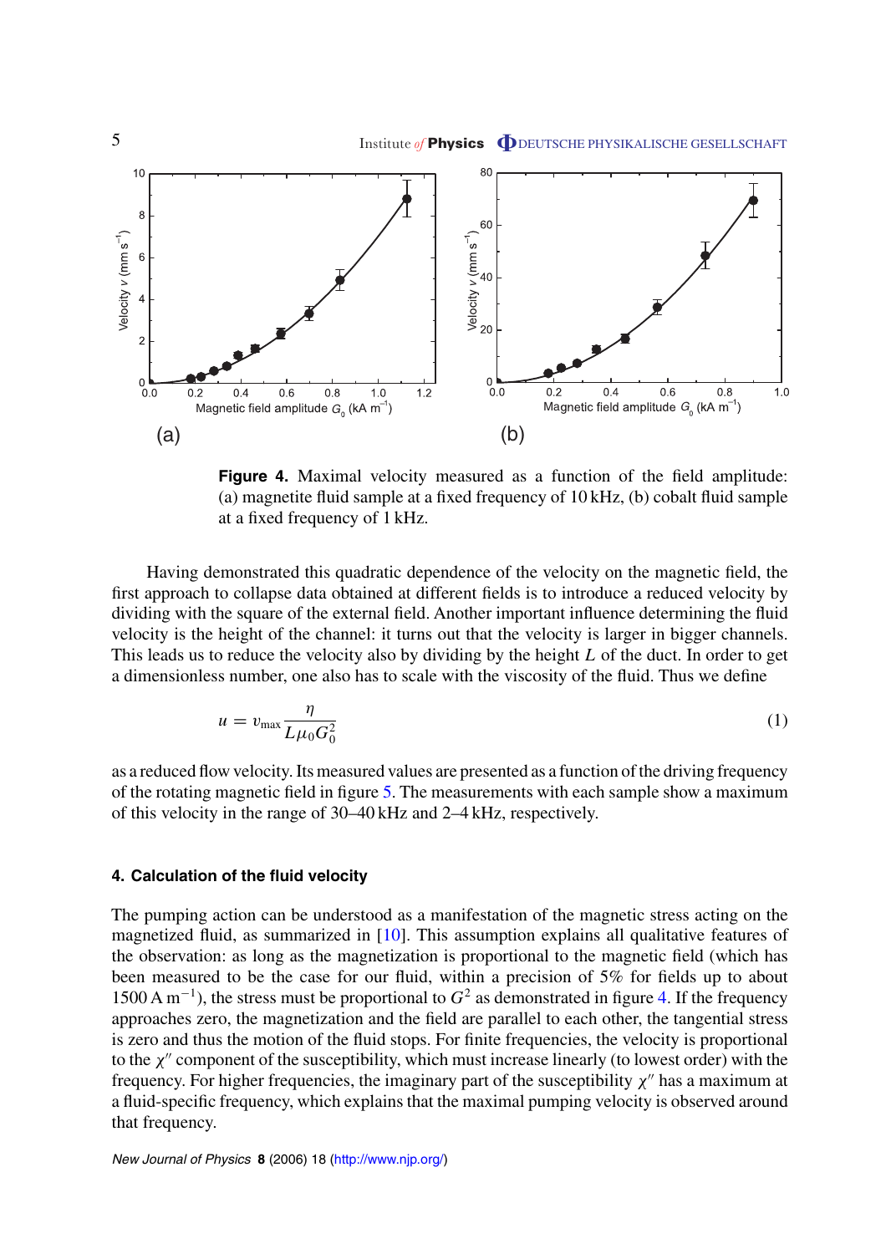<span id="page-5-0"></span>

**Figure 4.** Maximal velocity measured as a function of the field amplitude: (a) magnetite fluid sample at a fixed frequency of 10 kHz, (b) cobalt fluid sample at a fixed frequency of 1 kHz.

Having demonstrated this quadratic dependence of the velocity on the magnetic field, the first approach to collapse data obtained at different fields is to introduce a reduced velocity by dividing with the square of the external field. Another important influence determining the fluid velocity is the height of the channel: it turns out that the velocity is larger in bigger channels. This leads us to reduce the velocity also by dividing by the height *L* of the duct. In order to get a dimensionless number, one also has to scale with the viscosity of the fluid. Thus we define

$$
u = v_{\text{max}} \frac{\eta}{L\mu_0 G_0^2} \tag{1}
$$

as a reduced flow velocity. Its measured values are presented as a function of the driving frequency of the rotating magnetic field in figure [5](#page-6-0). The measurements with each sample show a maximum of this velocity in the range of 30–40 kHz and 2–4 kHz, respectively.

#### **4. Calculation of the fluid velocity**

The pumping action can be understood as a manifestation of the magnetic stress acting on the magnetized fluid, as summarized in [\[10\]](#page-11-0). This assumption explains all qualitative features of the observation: as long as the magnetization is proportional to the magnetic field (which has been measured to be the case for our fluid, within a precision of 5% for fields up to about 1500 A m<sup>−</sup>1), the stress must be proportional to *G*<sup>2</sup> as demonstrated in figure 4. If the frequency approaches zero, the magnetization and the field are parallel to each other, the tangential stress is zero and thus the motion of the fluid stops. For finite frequencies, the velocity is proportional to the *χ*<sup>*''*</sup> component of the susceptibility, which must increase linearly (to lowest order) with the frequency. For higher frequencies, the imaginary part of the susceptibility  $\chi''$  has a maximum at a fluid-specific frequency, which explains that the maximal pumping velocity is observed around that frequency.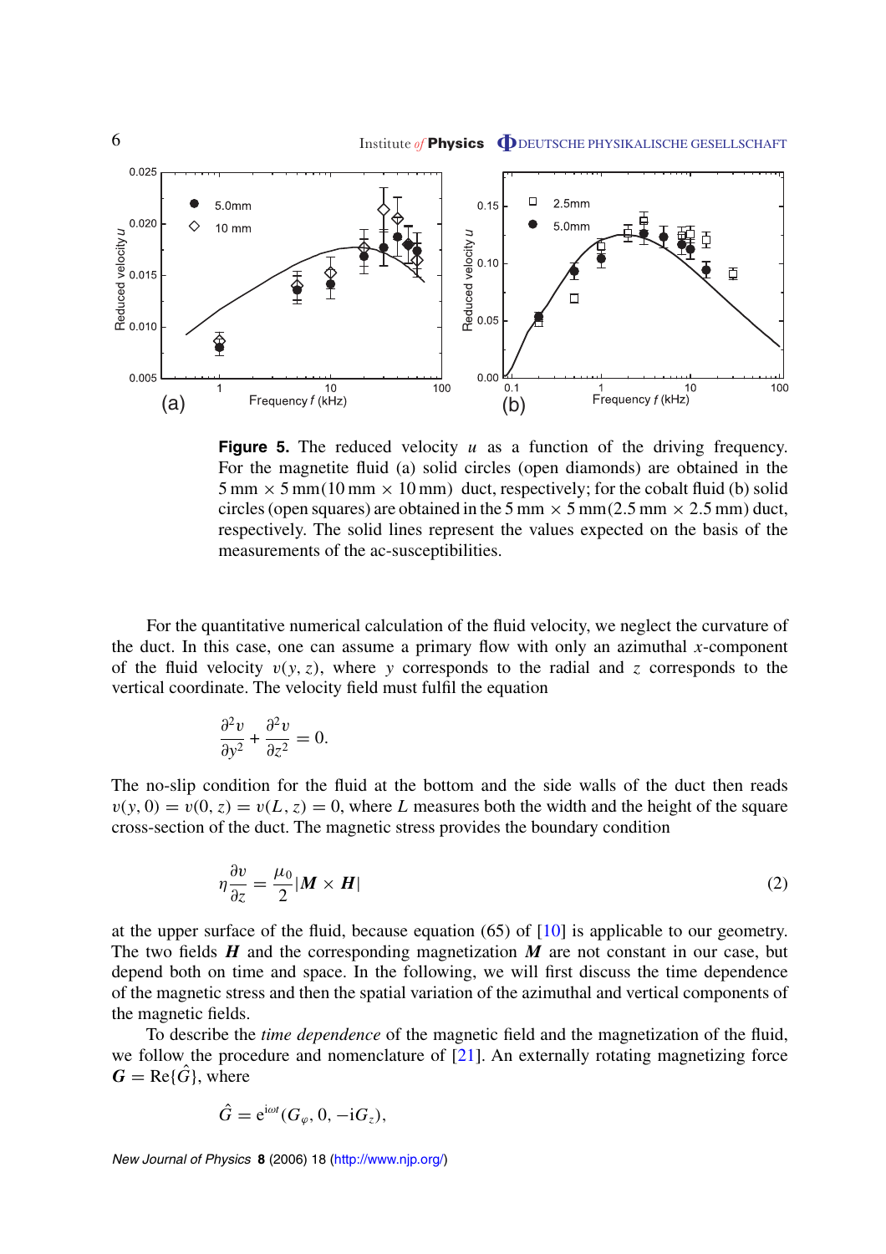<span id="page-6-0"></span>

**Figure 5.** The reduced velocity *u* as a function of the driving frequency. For the magnetite fluid (a) solid circles (open diamonds) are obtained in the  $5 \text{ mm} \times 5 \text{ mm} (10 \text{ mm} \times 10 \text{ mm})$  duct, respectively; for the cobalt fluid (b) solid circles (open squares) are obtained in the 5 mm  $\times$  5 mm(2.5 mm  $\times$  2.5 mm) duct, respectively. The solid lines represent the values expected on the basis of the measurements of the ac-susceptibilities.

For the quantitative numerical calculation of the fluid velocity, we neglect the curvature of the duct. In this case, one can assume a primary flow with only an azimuthal *x*-component of the fluid velocity  $v(y, z)$ , where *y* corresponds to the radial and *z* corresponds to the vertical coordinate. The velocity field must fulfil the equation

$$
\frac{\partial^2 v}{\partial y^2} + \frac{\partial^2 v}{\partial z^2} = 0.
$$

The no-slip condition for the fluid at the bottom and the side walls of the duct then reads  $v(y, 0) = v(0, z) = v(L, z) = 0$ , where *L* measures both the width and the height of the square cross-section of the duct. The magnetic stress provides the boundary condition

$$
\eta \frac{\partial v}{\partial z} = \frac{\mu_0}{2} |\boldsymbol{M} \times \boldsymbol{H}| \tag{2}
$$

at the upper surface of the fluid, because equation (65) of [\[10](#page-11-0)] is applicable to our geometry. The two fields *H* and the corresponding magnetization *M* are not constant in our case, but depend both on time and space. In the following, we will first discuss the time dependence of the magnetic stress and then the spatial variation of the azimuthal and vertical components of the magnetic fields.

To describe the *time dependence* of the magnetic field and the magnetization of the fluid, we follow the procedure and nomenclature of [\[21](#page-11-0)]. An externally rotating magnetizing force  $G = \text{Re}\{\hat{G}\}\text{, where}$ 

$$
\hat{G} = e^{i\omega t} (G_{\varphi}, 0, -iG_{z}),
$$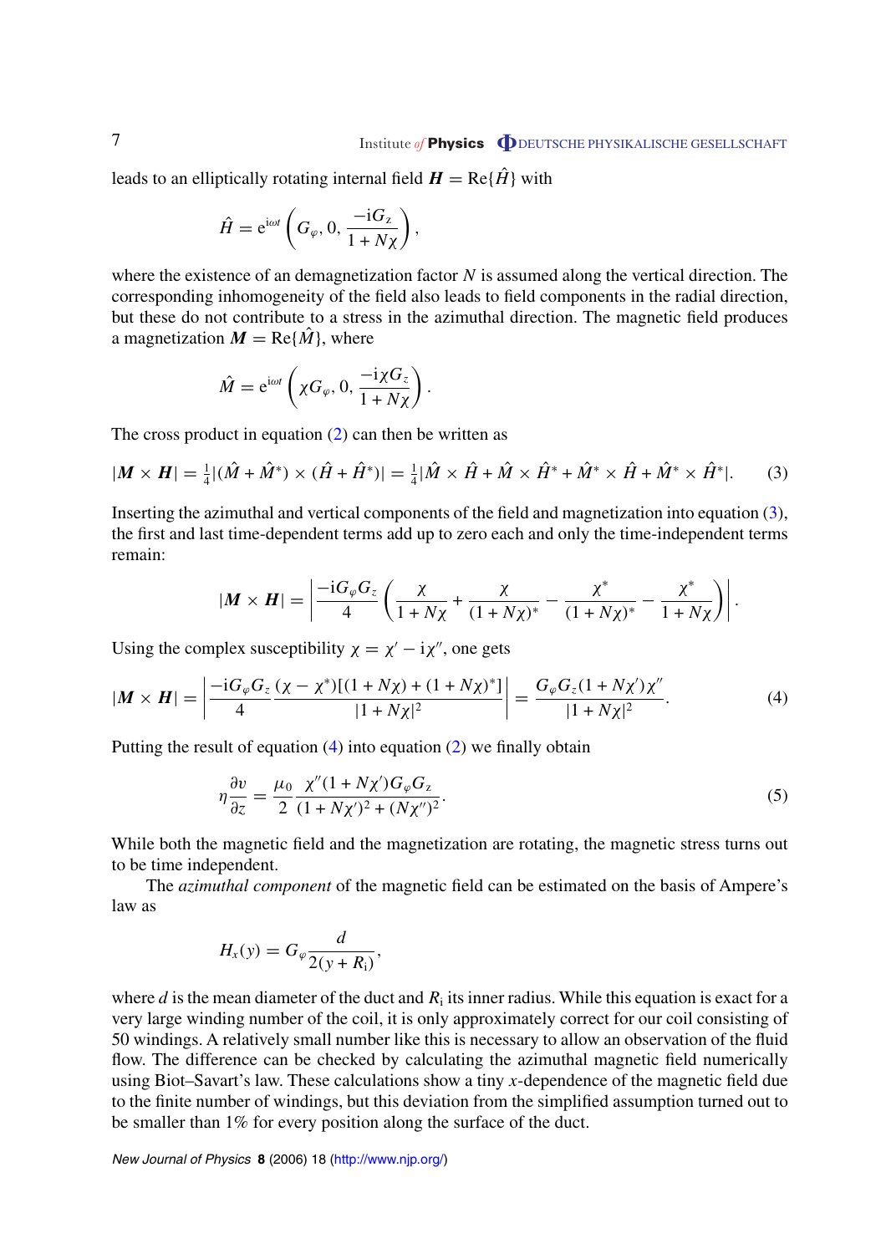<span id="page-7-0"></span>leads to an elliptically rotating internal field  $H = \text{Re}\{\hat{H}\}\$  with

$$
\hat{H} = \mathrm{e}^{\mathrm{i}\omega t} \left( G_{\varphi}, 0, \frac{-\mathrm{i} G_z}{1 + N \chi} \right),\,
$$

where the existence of an demagnetization factor *N* is assumed along the vertical direction. The corresponding inhomogeneity of the field also leads to field components in the radial direction, but these do not contribute to a stress in the azimuthal direction. The magnetic field produces a magnetization  $M = \text{Re}\{\hat{M}\}\text{, where}$ 

$$
\hat{M} = e^{i\omega t} \left( \chi G_{\varphi}, 0, \frac{-i\chi G_z}{1 + N\chi} \right).
$$

The cross product in equation  $(2)$  $(2)$  can then be written as

$$
|\mathbf{M} \times \mathbf{H}| = \frac{1}{4} |(\hat{M} + \hat{M}^*) \times (\hat{H} + \hat{H}^*)| = \frac{1}{4} |\hat{M} \times \hat{H} + \hat{M} \times \hat{H}^* + \hat{M}^* \times \hat{H} + \hat{M}^* \times \hat{H}^*|.
$$
 (3)

Inserting the azimuthal and vertical components of the field and magnetization into equation (3), the first and last time-dependent terms add up to zero each and only the time-independent terms remain:

$$
|\boldsymbol{M} \times \boldsymbol{H}| = \left| \frac{-\mathrm{i} G_{\varphi} G_{z}}{4} \left( \frac{\chi}{1 + N\chi} + \frac{\chi}{(1 + N\chi)^{*}} - \frac{\chi^{*}}{(1 + N\chi)^{*}} - \frac{\chi^{*}}{1 + N\chi} \right) \right|.
$$

Using the complex susceptibility  $\chi = \chi' - i\chi''$ , one gets

$$
|\boldsymbol{M} \times \boldsymbol{H}| = \left| \frac{-i G_{\varphi} G_{z}}{4} \frac{(\chi - \chi^{*}) [(1 + N\chi) + (1 + N\chi)^{*}]}{|1 + N\chi|^{2}} \right| = \frac{G_{\varphi} G_{z} (1 + N\chi') \chi''}{|1 + N\chi|^{2}}.
$$
 (4)

Putting the result of equation  $(4)$  into equation  $(2)$  $(2)$  we finally obtain

$$
\eta \frac{\partial v}{\partial z} = \frac{\mu_0}{2} \frac{\chi'' (1 + N \chi') G_{\varphi} G_z}{(1 + N \chi')^2 + (N \chi'')^2}.
$$
\n(5)

While both the magnetic field and the magnetization are rotating, the magnetic stress turns out to be time independent.

The *azimuthal component* of the magnetic field can be estimated on the basis of Ampere's law as

$$
H_x(y) = G_{\varphi} \frac{d}{2(y+R_{\rm i})},
$$

where *d* is the mean diameter of the duct and  $R_i$  its inner radius. While this equation is exact for a very large winding number of the coil, it is only approximately correct for our coil consisting of 50 windings. A relatively small number like this is necessary to allow an observation of the fluid flow. The difference can be checked by calculating the azimuthal magnetic field numerically using Biot–Savart's law. These calculations show a tiny *x*-dependence of the magnetic field due to the finite number of windings, but this deviation from the simplified assumption turned out to be smaller than 1% for every position along the surface of the duct.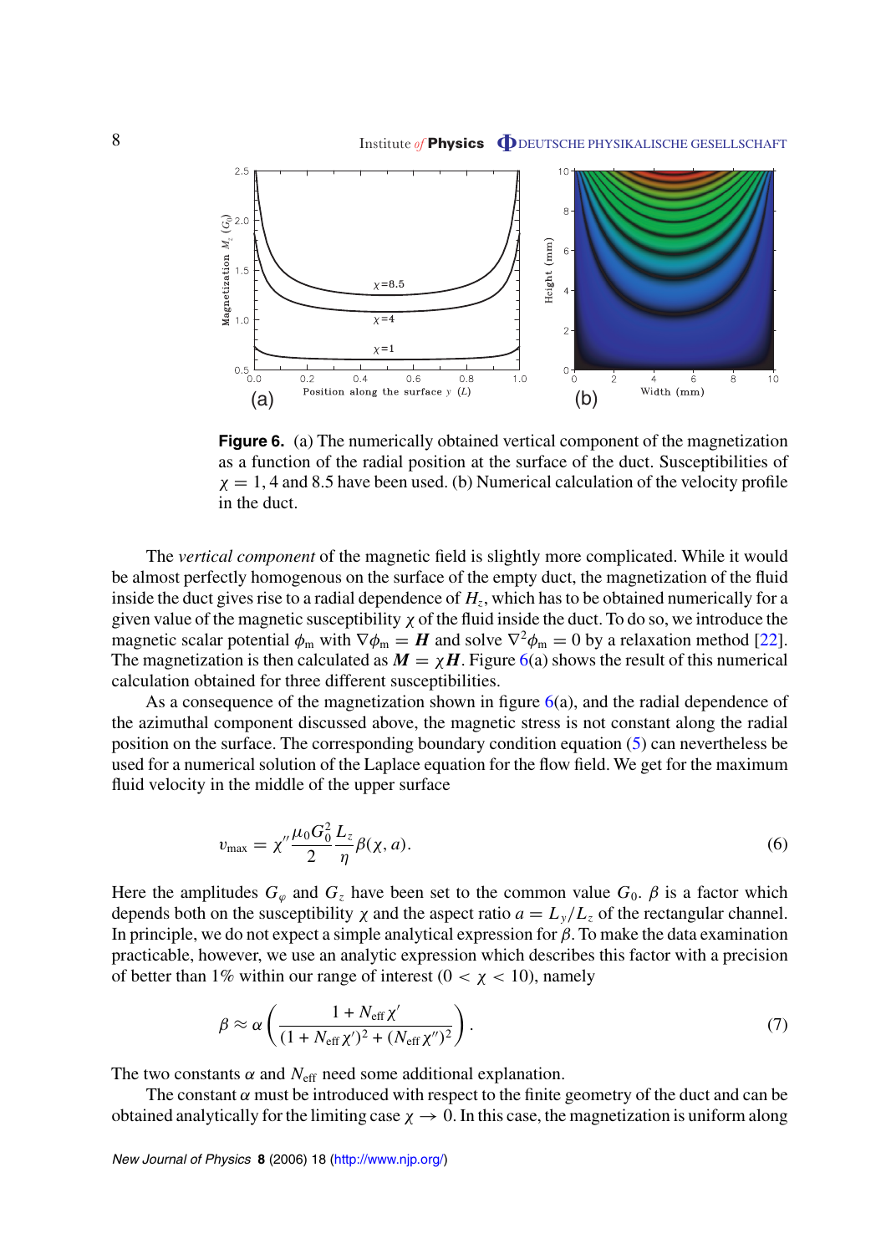<span id="page-8-0"></span>

**Figure 6.** (a) The numerically obtained vertical component of the magnetization as a function of the radial position at the surface of the duct. Susceptibilities of  $\chi = 1$ , 4 and 8.5 have been used. (b) Numerical calculation of the velocity profile in the duct.

The *vertical component* of the magnetic field is slightly more complicated. While it would be almost perfectly homogenous on the surface of the empty duct, the magnetization of the fluid inside the duct gives rise to a radial dependence of  $H<sub>z</sub>$ , which has to be obtained numerically for a given value of the magnetic susceptibility  $\chi$  of the fluid inside the duct. To do so, we introduce the magnetic scalar potential  $\phi_m$  with  $\nabla \phi_m = H$  and solve  $\nabla^2 \phi_m = 0$  by a relaxation method [\[22](#page-11-0)]. The magnetization is then calculated as  $M = \chi H$ . Figure 6(a) shows the result of this numerical calculation obtained for three different susceptibilities.

As a consequence of the magnetization shown in figure  $6(a)$ , and the radial dependence of the azimuthal component discussed above, the magnetic stress is not constant along the radial position on the surface. The corresponding boundary condition equation ([5\)](#page-7-0) can nevertheless be used for a numerical solution of the Laplace equation for the flow field. We get for the maximum fluid velocity in the middle of the upper surface

$$
v_{\text{max}} = \chi'' \frac{\mu_0 G_0^2}{2} \frac{L_z}{\eta} \beta(\chi, a). \tag{6}
$$

Here the amplitudes  $G_{\varphi}$  and  $G_{\varphi}$  have been set to the common value  $G_0$ .  $\beta$  is a factor which depends both on the susceptibility  $\chi$  and the aspect ratio  $a = L_y/L_z$  of the rectangular channel. In principle, we do not expect a simple analytical expression for *β*. To make the data examination practicable, however, we use an analytic expression which describes this factor with a precision of better than 1% within our range of interest  $(0 < \chi < 10)$ , namely

$$
\beta \approx \alpha \left( \frac{1 + N_{\text{eff}} \chi'}{(1 + N_{\text{eff}} \chi')^2 + (N_{\text{eff}} \chi'')^2} \right). \tag{7}
$$

The two constants  $\alpha$  and  $N_{\text{eff}}$  need some additional explanation.

The constant  $\alpha$  must be introduced with respect to the finite geometry of the duct and can be obtained analytically for the limiting case  $\chi \to 0$ . In this case, the magnetization is uniform along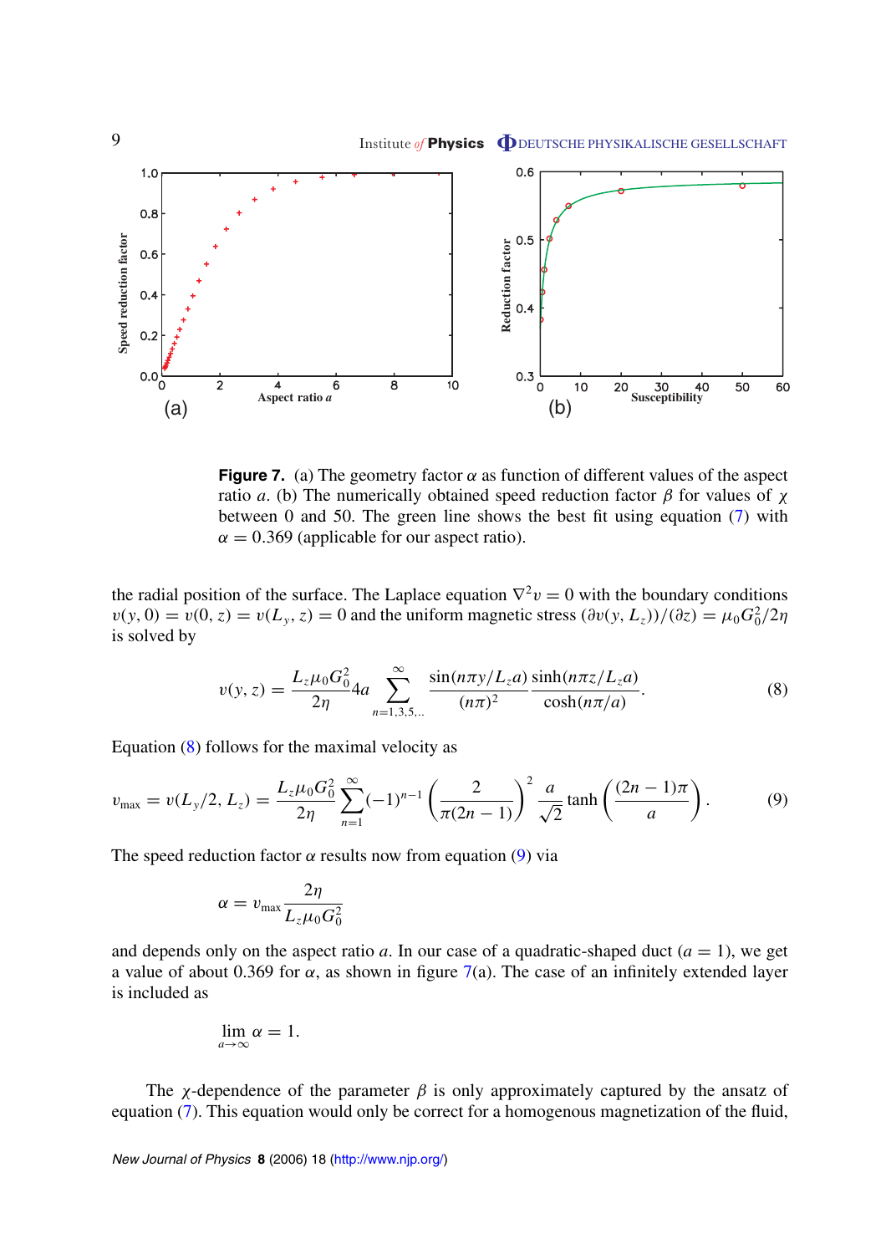<span id="page-9-0"></span>

**Figure 7.** (a) The geometry factor  $\alpha$  as function of different values of the aspect ratio *a*. (b) The numerically obtained speed reduction factor *β* for values of *χ* between 0 and 50. The green line shows the best fit using equation [\(7](#page-8-0)) with  $\alpha = 0.369$  (applicable for our aspect ratio).

the radial position of the surface. The Laplace equation  $\nabla^2 v = 0$  with the boundary conditions  $v(y, 0) = v(0, z) = v(L_y, z) = 0$  and the uniform magnetic stress  $(\partial v(y, L_z)) / (\partial z) = \mu_0 G_0^2 / 2\eta$ is solved by

$$
v(y, z) = \frac{L_z \mu_0 G_0^2}{2\eta} 4a \sum_{n=1,3,5,\dots}^{\infty} \frac{\sin(n\pi y/L_z a)}{(n\pi)^2} \frac{\sinh(n\pi z/L_z a)}{\cosh(n\pi/a)}.
$$
 (8)

Equation (8) follows for the maximal velocity as

$$
v_{\text{max}} = v(L_y/2, L_z) = \frac{L_z \mu_0 G_0^2}{2\eta} \sum_{n=1}^{\infty} (-1)^{n-1} \left( \frac{2}{\pi (2n-1)} \right)^2 \frac{a}{\sqrt{2}} \tanh\left( \frac{(2n-1)\pi}{a} \right). \tag{9}
$$

The speed reduction factor  $\alpha$  results now from equation (9) via

$$
\alpha = v_{\text{max}} \frac{2\eta}{L_z \mu_0 G_0^2}
$$

and depends only on the aspect ratio *a*. In our case of a quadratic-shaped duct  $(a = 1)$ , we get a value of about 0.369 for *α*, as shown in figure 7(a). The case of an infinitely extended layer is included as

$$
\lim_{a\to\infty}\alpha=1.
$$

The *χ*-dependence of the parameter  $\beta$  is only approximately captured by the ansatz of equation [\(7](#page-8-0)). This equation would only be correct for a homogenous magnetization of the fluid,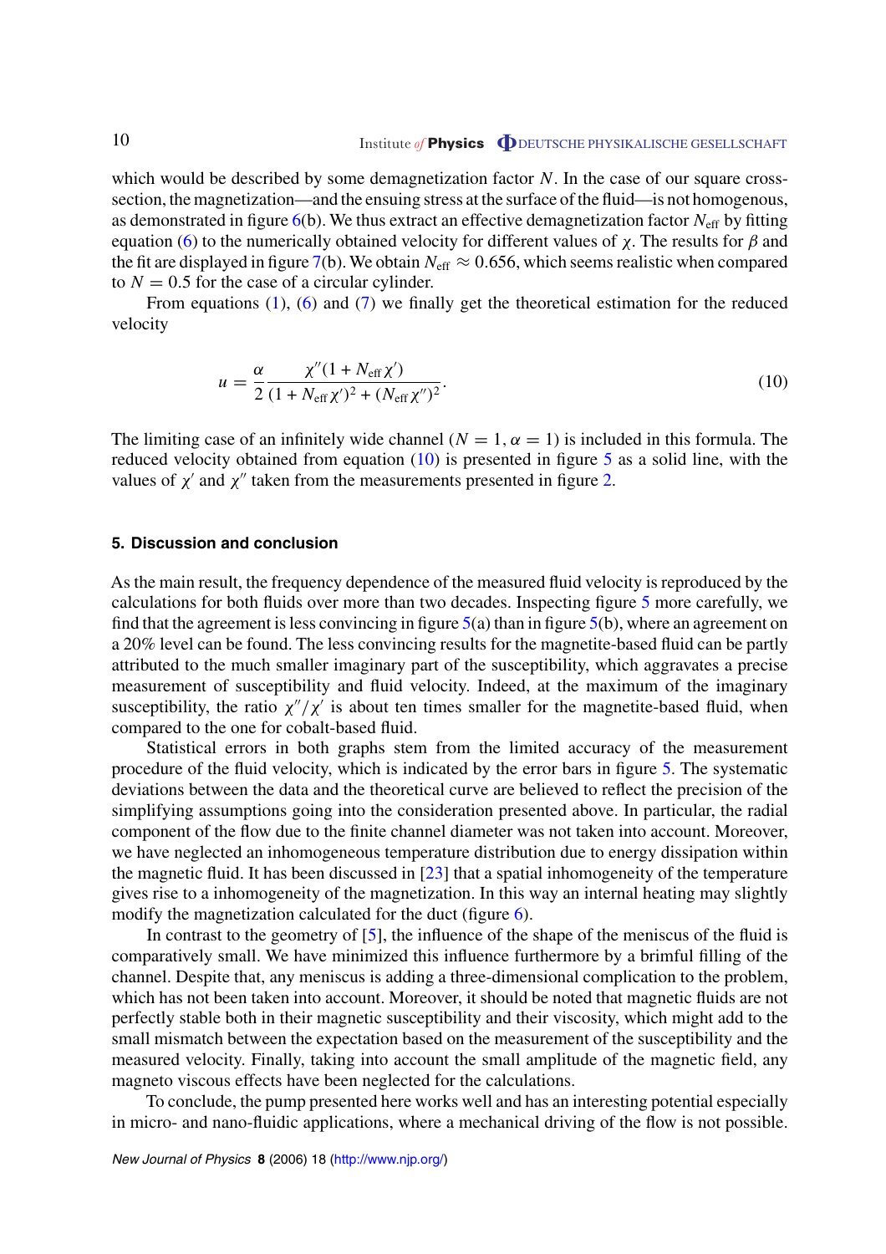<span id="page-10-0"></span>which would be described by some demagnetization factor N. In the case of our square crosssection, the magnetization—and the ensuing stress at the surface of the fluid—is not homogenous, as demonstrated in figure [6](#page-8-0)(b). We thus extract an effective demagnetization factor *N*eff by fitting equation [\(6\)](#page-8-0) to the numerically obtained velocity for different values of *χ*. The results for *β* and the fit are displayed in figure [7\(](#page-9-0)b). We obtain  $N_{\text{eff}} \approx 0.656$ , which seems realistic when compared to  $N = 0.5$  for the case of a circular cylinder.

From equations [\(1](#page-5-0)), [\(6](#page-8-0)) and [\(7](#page-8-0)) we finally get the theoretical estimation for the reduced velocity

$$
u = \frac{\alpha}{2} \frac{\chi''(1 + N_{\text{eff}} \chi')}{(1 + N_{\text{eff}} \chi')^2 + (N_{\text{eff}} \chi'')^2}.
$$
\n(10)

The limiting case of an infinitely wide channel  $(N = 1, \alpha = 1)$  is included in this formula. The reduced velocity obtained from equation  $(10)$  is presented in figure [5](#page-6-0) as a solid line, with the values of  $\chi'$  and  $\chi''$  taken from the measurements presented in figure [2.](#page-4-0)

#### **5. Discussion and conclusion**

As the main result, the frequency dependence of the measured fluid velocity is reproduced by the calculations for both fluids over more than two decades. Inspecting figure [5](#page-6-0) more carefully, we find that the agreement is less convincing in figure  $5(a)$  $5(a)$  than in figure  $5(b)$  $5(b)$ , where an agreement on a 20% level can be found. The less convincing results for the magnetite-based fluid can be partly attributed to the much smaller imaginary part of the susceptibility, which aggravates a precise measurement of susceptibility and fluid velocity. Indeed, at the maximum of the imaginary susceptibility, the ratio  $\chi''/\chi'$  is about ten times smaller for the magnetite-based fluid, when compared to the one for cobalt-based fluid.

Statistical errors in both graphs stem from the limited accuracy of the measurement procedure of the fluid velocity, which is indicated by the error bars in figure [5.](#page-6-0) The systematic deviations between the data and the theoretical curve are believed to reflect the precision of the simplifying assumptions going into the consideration presented above. In particular, the radial component of the flow due to the finite channel diameter was not taken into account. Moreover, we have neglected an inhomogeneous temperature distribution due to energy dissipation within the magnetic fluid. It has been discussed in [[23\]](#page-11-0) that a spatial inhomogeneity of the temperature gives rise to a inhomogeneity of the magnetization. In this way an internal heating may slightly modify the magnetization calculated for the duct (figure [6](#page-8-0)).

In contrast to the geometry of [\[5\]](#page-11-0), the influence of the shape of the meniscus of the fluid is comparatively small. We have minimized this influence furthermore by a brimful filling of the channel. Despite that, any meniscus is adding a three-dimensional complication to the problem, which has not been taken into account. Moreover, it should be noted that magnetic fluids are not perfectly stable both in their magnetic susceptibility and their viscosity, which might add to the small mismatch between the expectation based on the measurement of the susceptibility and the measured velocity. Finally, taking into account the small amplitude of the magnetic field, any magneto viscous effects have been neglected for the calculations.

To conclude, the pump presented here works well and has an interesting potential especially in micro- and nano-fluidic applications, where a mechanical driving of the flow is not possible.